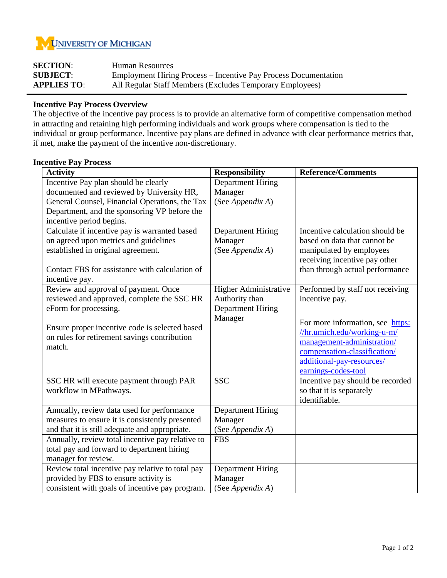

| <b>SECTION:</b>    | Human Resources                                                        |
|--------------------|------------------------------------------------------------------------|
| <b>SUBJECT:</b>    | <b>Employment Hiring Process – Incentive Pay Process Documentation</b> |
| <b>APPLIES TO:</b> | All Regular Staff Members (Excludes Temporary Employees)               |

## **Incentive Pay Process Overview**

The objective of the incentive pay process is to provide an alternative form of competitive compensation method in attracting and retaining high performing individuals and work groups where compensation is tied to the individual or group performance. Incentive pay plans are defined in advance with clear performance metrics that, if met, make the payment of the incentive non-discretionary.

## **Incentive Pay Process**

| <b>Activity</b>                                  | <b>Responsibility</b>        | <b>Reference/Comments</b>        |  |
|--------------------------------------------------|------------------------------|----------------------------------|--|
| Incentive Pay plan should be clearly             | <b>Department Hiring</b>     |                                  |  |
| documented and reviewed by University HR,        | Manager                      |                                  |  |
| General Counsel, Financial Operations, the Tax   | (See Appendix A)             |                                  |  |
| Department, and the sponsoring VP before the     |                              |                                  |  |
| incentive period begins.                         |                              |                                  |  |
| Calculate if incentive pay is warranted based    | <b>Department Hiring</b>     | Incentive calculation should be  |  |
| on agreed upon metrics and guidelines            | Manager                      | based on data that cannot be     |  |
| established in original agreement.               | (See Appendix A)             | manipulated by employees         |  |
|                                                  |                              | receiving incentive pay other    |  |
| Contact FBS for assistance with calculation of   |                              | than through actual performance  |  |
| incentive pay.                                   |                              |                                  |  |
| Review and approval of payment. Once             | <b>Higher Administrative</b> | Performed by staff not receiving |  |
| reviewed and approved, complete the SSC HR       | Authority than               | incentive pay.                   |  |
| eForm for processing.                            | <b>Department Hiring</b>     |                                  |  |
|                                                  | Manager                      | For more information, see https: |  |
| Ensure proper incentive code is selected based   |                              | //hr.umich.edu/working-u-m/      |  |
| on rules for retirement savings contribution     |                              | management-administration/       |  |
| match.                                           |                              | compensation-classification/     |  |
|                                                  |                              | additional-pay-resources/        |  |
|                                                  |                              | earnings-codes-tool              |  |
| SSC HR will execute payment through PAR          | <b>SSC</b>                   | Incentive pay should be recorded |  |
| workflow in MPathways.                           |                              | so that it is separately         |  |
|                                                  |                              | identifiable.                    |  |
| Annually, review data used for performance       | <b>Department Hiring</b>     |                                  |  |
| measures to ensure it is consistently presented  | Manager                      |                                  |  |
| and that it is still adequate and appropriate.   | (See Appendix A)             |                                  |  |
| Annually, review total incentive pay relative to | <b>FBS</b>                   |                                  |  |
| total pay and forward to department hiring       |                              |                                  |  |
| manager for review.                              |                              |                                  |  |
| Review total incentive pay relative to total pay | <b>Department Hiring</b>     |                                  |  |
| provided by FBS to ensure activity is            | Manager                      |                                  |  |
| consistent with goals of incentive pay program.  | (See Appendix A)             |                                  |  |